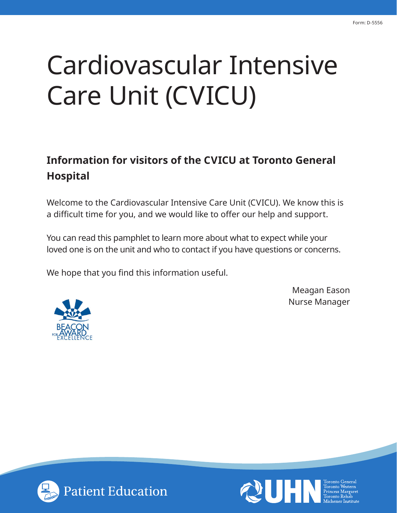# Cardiovascular Intensive Care Unit (CVICU)

# **Information for visitors of the CVICU at Toronto General Hospital**

Welcome to the Cardiovascular Intensive Care Unit (CVICU). We know this is a difficult time for you, and we would like to offer our help and support.

You can read this pamphlet to learn more about what to expect while your loved one is on the unit and who to contact if you have questions or concerns.

We hope that you find this information useful.



Meagan Eason Nurse Manager



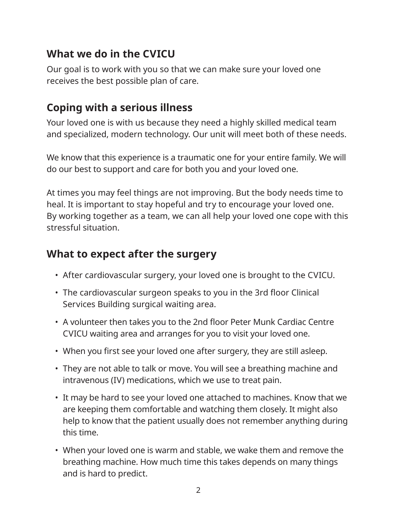# **What we do in the CVICU**

Our goal is to work with you so that we can make sure your loved one receives the best possible plan of care.

# **Coping with a serious illness**

Your loved one is with us because they need a highly skilled medical team and specialized, modern technology. Our unit will meet both of these needs.

We know that this experience is a traumatic one for your entire family. We will do our best to support and care for both you and your loved one.

At times you may feel things are not improving. But the body needs time to heal. It is important to stay hopeful and try to encourage your loved one. By working together as a team, we can all help your loved one cope with this stressful situation.

# **What to expect after the surgery**

- After cardiovascular surgery, your loved one is brought to the CVICU.
- The cardiovascular surgeon speaks to you in the 3rd floor Clinical Services Building surgical waiting area.
- A volunteer then takes you to the 2nd floor Peter Munk Cardiac Centre CVICU waiting area and arranges for you to visit your loved one.
- When you first see your loved one after surgery, they are still asleep.
- They are not able to talk or move. You will see a breathing machine and intravenous (IV) medications, which we use to treat pain.
- It may be hard to see your loved one attached to machines. Know that we are keeping them comfortable and watching them closely. It might also help to know that the patient usually does not remember anything during this time.
- When your loved one is warm and stable, we wake them and remove the breathing machine. How much time this takes depends on many things and is hard to predict.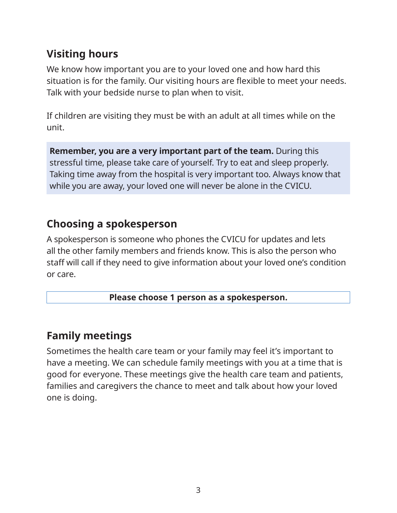# **Visiting hours**

We know how important you are to your loved one and how hard this situation is for the family. Our visiting hours are flexible to meet your needs. Talk with your bedside nurse to plan when to visit.

If children are visiting they must be with an adult at all times while on the unit.

**Remember, you are a very important part of the team.** During this stressful time, please take care of yourself. Try to eat and sleep properly. Taking time away from the hospital is very important too. Always know that while you are away, your loved one will never be alone in the CVICU.

### **Choosing a spokesperson**

A spokesperson is someone who phones the CVICU for updates and lets all the other family members and friends know. This is also the person who staff will call if they need to give information about your loved one's condition or care.

#### **Please choose 1 person as a spokesperson.**

# **Family meetings**

Sometimes the health care team or your family may feel it's important to have a meeting. We can schedule family meetings with you at a time that is good for everyone. These meetings give the health care team and patients, families and caregivers the chance to meet and talk about how your loved one is doing.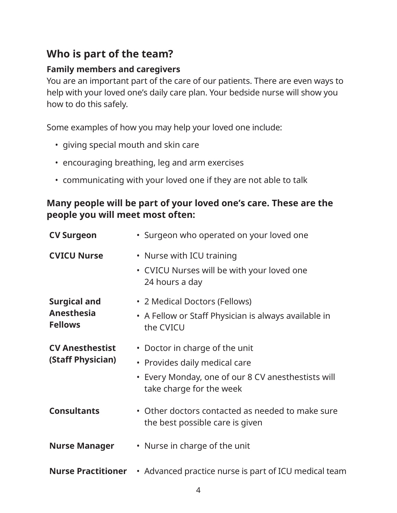# **Who is part of the team?**

#### **Family members and caregivers**

You are an important part of the care of our patients. There are even ways to help with your loved one's daily care plan. Your bedside nurse will show you how to do this safely.

Some examples of how you may help your loved one include:

- giving special mouth and skin care
- encouraging breathing, leg and arm exercises
- communicating with your loved one if they are not able to talk

#### **Many people will be part of your loved one's care. These are the people you will meet most often:**

| <b>CV Surgeon</b>                                          | • Surgeon who operated on your loved one                                                                                                          |
|------------------------------------------------------------|---------------------------------------------------------------------------------------------------------------------------------------------------|
| <b>CVICU Nurse</b>                                         | • Nurse with ICU training<br>• CVICU Nurses will be with your loved one<br>24 hours a day                                                         |
| <b>Surgical and</b><br><b>Anesthesia</b><br><b>Fellows</b> | • 2 Medical Doctors (Fellows)<br>• A Fellow or Staff Physician is always available in<br>the CVICU                                                |
| <b>CV Anesthestist</b><br>(Staff Physician)                | • Doctor in charge of the unit<br>• Provides daily medical care<br>• Every Monday, one of our 8 CV anesthestists will<br>take charge for the week |
| <b>Consultants</b>                                         | • Other doctors contacted as needed to make sure<br>the best possible care is given                                                               |
| <b>Nurse Manager</b>                                       | • Nurse in charge of the unit                                                                                                                     |
| <b>Nurse Practitioner</b>                                  | • Advanced practice nurse is part of ICU medical team                                                                                             |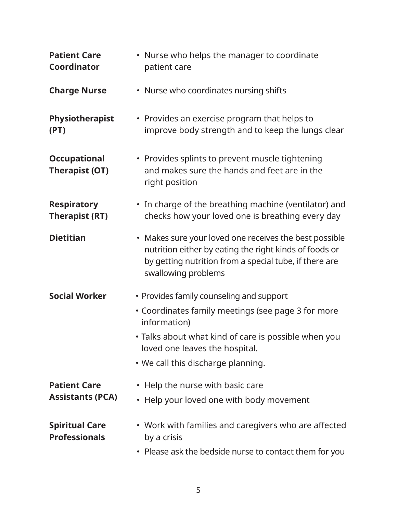| <b>Patient Care</b><br><b>Coordinator</b>      | • Nurse who helps the manager to coordinate<br>patient care                                                                                                                                                                                    |
|------------------------------------------------|------------------------------------------------------------------------------------------------------------------------------------------------------------------------------------------------------------------------------------------------|
| <b>Charge Nurse</b>                            | • Nurse who coordinates nursing shifts                                                                                                                                                                                                         |
| Physiotherapist<br>(PT)                        | • Provides an exercise program that helps to<br>improve body strength and to keep the lungs clear                                                                                                                                              |
| <b>Occupational</b><br><b>Therapist (OT)</b>   | • Provides splints to prevent muscle tightening<br>and makes sure the hands and feet are in the<br>right position                                                                                                                              |
| <b>Respiratory</b><br><b>Therapist (RT)</b>    | • In charge of the breathing machine (ventilator) and<br>checks how your loved one is breathing every day                                                                                                                                      |
| <b>Dietitian</b>                               | • Makes sure your loved one receives the best possible<br>nutrition either by eating the right kinds of foods or<br>by getting nutrition from a special tube, if there are<br>swallowing problems                                              |
| <b>Social Worker</b>                           | • Provides family counseling and support<br>• Coordinates family meetings (see page 3 for more<br>information)<br>· Talks about what kind of care is possible when you<br>loved one leaves the hospital.<br>. We call this discharge planning. |
| <b>Patient Care</b><br><b>Assistants (PCA)</b> | • Help the nurse with basic care<br>• Help your loved one with body movement                                                                                                                                                                   |
| <b>Spiritual Care</b><br><b>Professionals</b>  | • Work with families and caregivers who are affected<br>by a crisis<br>• Please ask the bedside nurse to contact them for you                                                                                                                  |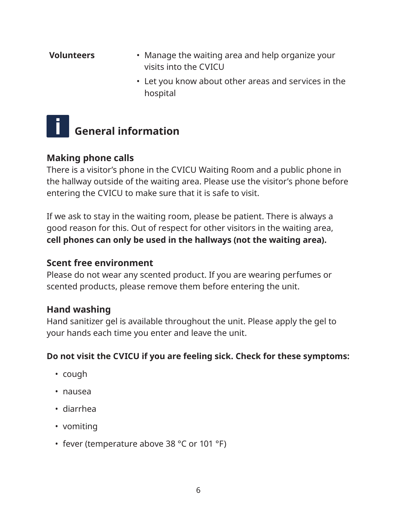#### **Volunteers** • Manage the waiting area and help organize your visits into the CVICU • Let you know about other areas and services in the hospital

# **General information**

#### **Making phone calls**

There is a visitor's phone in the CVICU Waiting Room and a public phone in the hallway outside of the waiting area. Please use the visitor's phone before entering the CVICU to make sure that it is safe to visit.

If we ask to stay in the waiting room, please be patient. There is always a good reason for this. Out of respect for other visitors in the waiting area, **cell phones can only be used in the hallways (not the waiting area).**

#### **Scent free environment**

Please do not wear any scented product. If you are wearing perfumes or scented products, please remove them before entering the unit.

#### **Hand washing**

Hand sanitizer gel is available throughout the unit. Please apply the gel to your hands each time you enter and leave the unit.

#### **Do not visit the CVICU if you are feeling sick. Check for these symptoms:**

- cough
- nausea
- diarrhea
- vomiting
- fever (temperature above 38 °C or 101 °F)